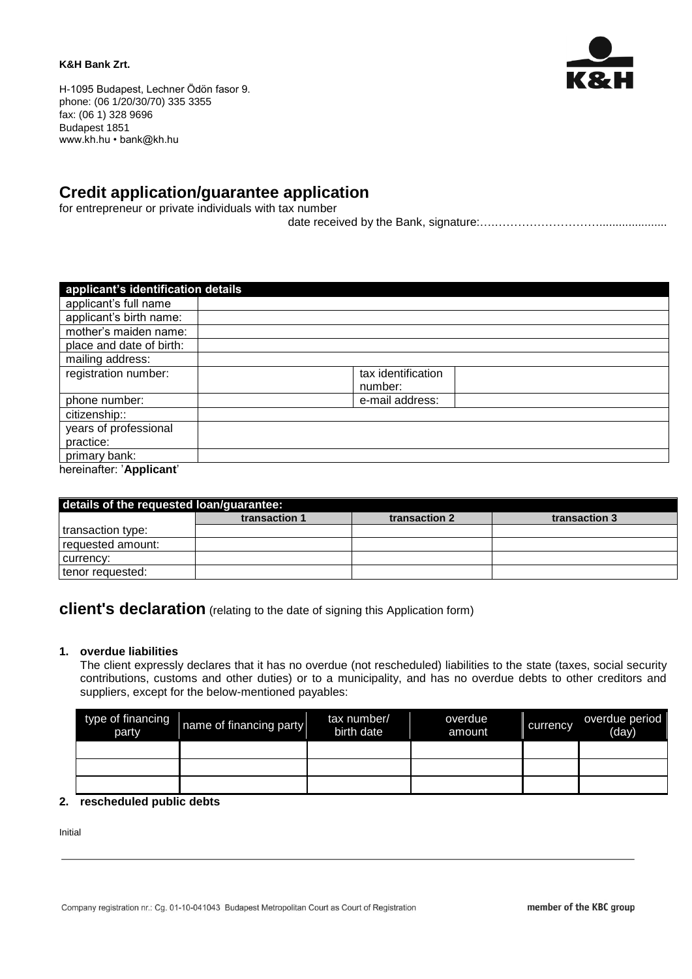#### **K&H Bank Zrt.**



H-1095 Budapest, Lechner Ödön fasor 9. phone: (06 1/20/30/70) 335 3355 fax: (06 1) 328 9696 Budapest 1851 www.kh.hu • bank@kh.hu

# **Credit application/guarantee application**

for entrepreneur or private individuals with tax number

date received by the Bank, signature:….……………………….....................

| applicant's identification details |                    |  |
|------------------------------------|--------------------|--|
| applicant's full name              |                    |  |
| applicant's birth name:            |                    |  |
| mother's maiden name:              |                    |  |
| place and date of birth:           |                    |  |
| mailing address:                   |                    |  |
| registration number:               | tax identification |  |
|                                    | number:            |  |
| phone number:                      | e-mail address:    |  |
| citizenship::                      |                    |  |
| years of professional              |                    |  |
| practice:                          |                    |  |
| primary bank:                      |                    |  |
| hereinafter: 'Applicant'           |                    |  |

| details of the requested loan/guarantee: |               |               |               |  |  |
|------------------------------------------|---------------|---------------|---------------|--|--|
|                                          | transaction 1 | transaction 2 | transaction 3 |  |  |
| transaction type:                        |               |               |               |  |  |
| requested amount:                        |               |               |               |  |  |
| currency:                                |               |               |               |  |  |
| tenor requested:                         |               |               |               |  |  |

## **client's declaration** (relating to the date of signing this Application form)

### **1. overdue liabilities**

The client expressly declares that it has no overdue (not rescheduled) liabilities to the state (taxes, social security contributions, customs and other duties) or to a municipality, and has no overdue debts to other creditors and suppliers, except for the below-mentioned payables:

| type of financing<br>party | name of financing party | tax number/<br>birth date | overdue<br>amount | currency | overdue period<br>(day) |
|----------------------------|-------------------------|---------------------------|-------------------|----------|-------------------------|
|                            |                         |                           |                   |          |                         |
|                            |                         |                           |                   |          |                         |
|                            |                         |                           |                   |          |                         |

## **2. rescheduled public debts**

Initial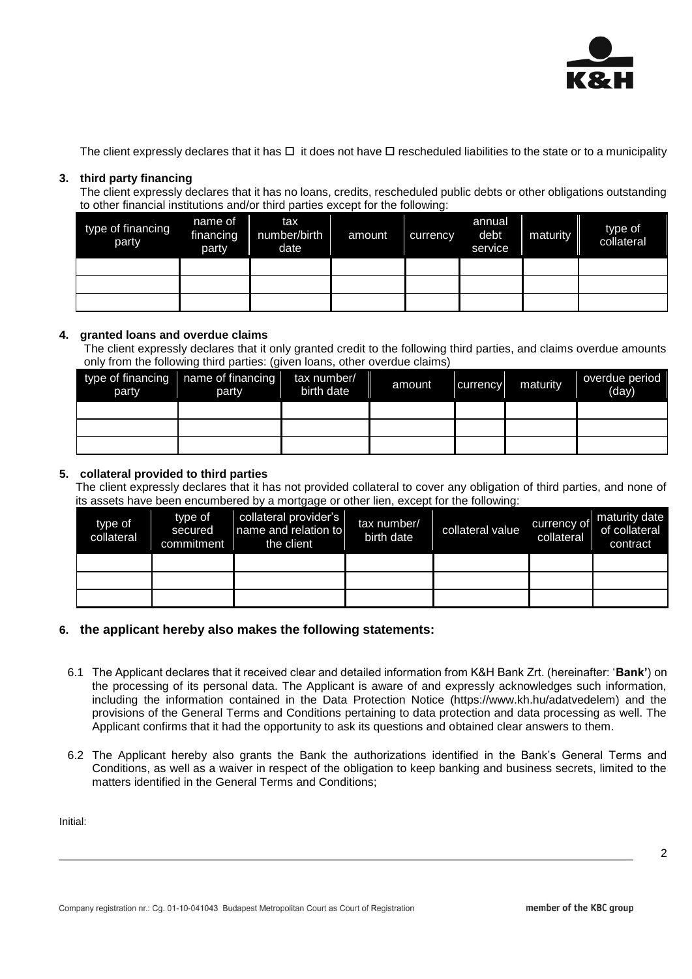

The client expressly declares that it has  $\Box$  it does not have  $\Box$  rescheduled liabilities to the state or to a municipality

## **3. third party financing**

The client expressly declares that it has no loans, credits, rescheduled public debts or other obligations outstanding to other financial institutions and/or third parties except for the following:

| type of financing<br>party | name of<br>financing<br>party | tax<br>number/birth<br>date | amount | currency | annual<br>debt<br>service | maturity | type of<br>collateral |
|----------------------------|-------------------------------|-----------------------------|--------|----------|---------------------------|----------|-----------------------|
|                            |                               |                             |        |          |                           |          |                       |
|                            |                               |                             |        |          |                           |          |                       |
|                            |                               |                             |        |          |                           |          |                       |

## **4. granted loans and overdue claims**

The client expressly declares that it only granted credit to the following third parties, and claims overdue amounts only from the following third parties: (given loans, other overdue claims)

| party | type of financing $\sqrt{\ }$ name of financing<br>party | tax number/<br>birth date | amount | currency | maturity | overdue period<br>(day) |
|-------|----------------------------------------------------------|---------------------------|--------|----------|----------|-------------------------|
|       |                                                          |                           |        |          |          |                         |
|       |                                                          |                           |        |          |          |                         |
|       |                                                          |                           |        |          |          |                         |

## **5. collateral provided to third parties**

The client expressly declares that it has not provided collateral to cover any obligation of third parties, and none of its assets have been encumbered by a mortgage or other lien, except for the following:

| type of<br>collateral | type of<br>secured<br>commitment | collateral provider's<br>name and relation to<br>the client | tax number/<br>birth date | collateral value | currency of<br>collateral | maturity date<br>of collateral<br>contract |
|-----------------------|----------------------------------|-------------------------------------------------------------|---------------------------|------------------|---------------------------|--------------------------------------------|
|                       |                                  |                                                             |                           |                  |                           |                                            |
|                       |                                  |                                                             |                           |                  |                           |                                            |
|                       |                                  |                                                             |                           |                  |                           |                                            |

## **6. the applicant hereby also makes the following statements:**

- 6.1 The Applicant declares that it received clear and detailed information from K&H Bank Zrt. (hereinafter: '**Bank'**) on the processing of its personal data. The Applicant is aware of and expressly acknowledges such information, including the information contained in the Data Protection Notice (https://www.kh.hu/adatvedelem) and the provisions of the General Terms and Conditions pertaining to data protection and data processing as well. The Applicant confirms that it had the opportunity to ask its questions and obtained clear answers to them.
- 6.2 The Applicant hereby also grants the Bank the authorizations identified in the Bank's General Terms and Conditions, as well as a waiver in respect of the obligation to keep banking and business secrets, limited to the matters identified in the General Terms and Conditions;

Initial: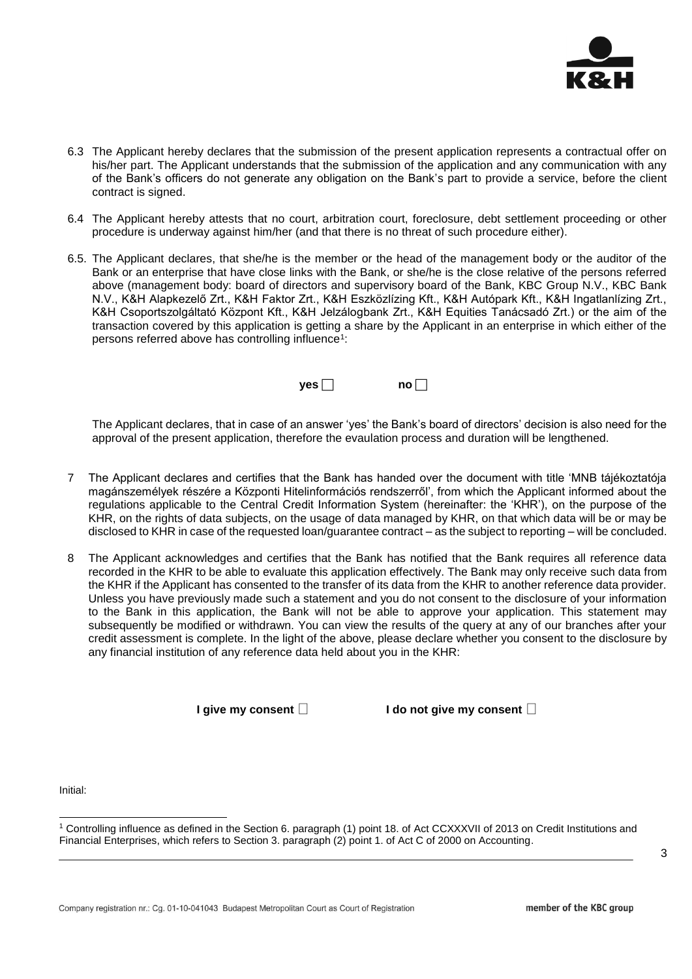

- 6.3 The Applicant hereby declares that the submission of the present application represents a contractual offer on his/her part. The Applicant understands that the submission of the application and any communication with any of the Bank's officers do not generate any obligation on the Bank's part to provide a service, before the client contract is signed.
- 6.4 The Applicant hereby attests that no court, arbitration court, foreclosure, debt settlement proceeding or other procedure is underway against him/her (and that there is no threat of such procedure either).
- 6.5. The Applicant declares, that she/he is the member or the head of the management body or the auditor of the Bank or an enterprise that have close links with the Bank, or she/he is the close relative of the persons referred above (management body: board of directors and supervisory board of the Bank, KBC Group N.V., KBC Bank N.V., K&H Alapkezelő Zrt., K&H Faktor Zrt., K&H Eszközlízing Kft., K&H Autópark Kft., K&H Ingatlanlízing Zrt., K&H Csoportszolgáltató Központ Kft., K&H Jelzálogbank Zrt., K&H Equities Tanácsadó Zrt.) or the aim of the transaction covered by this application is getting a share by the Applicant in an enterprise in which either of the persons referred above has controlling influence<sup>1</sup>:



The Applicant declares, that in case of an answer 'yes' the Bank's board of directors' decision is also need for the approval of the present application, therefore the evaulation process and duration will be lengthened.

- 7 The Applicant declares and certifies that the Bank has handed over the document with title 'MNB tájékoztatója magánszemélyek részére a Központi Hitelinformációs rendszerről', from which the Applicant informed about the regulations applicable to the Central Credit Information System (hereinafter: the 'KHR'), on the purpose of the KHR, on the rights of data subjects, on the usage of data managed by KHR, on that which data will be or may be disclosed to KHR in case of the requested loan/guarantee contract – as the subject to reporting – will be concluded.
- 8 The Applicant acknowledges and certifies that the Bank has notified that the Bank requires all reference data recorded in the KHR to be able to evaluate this application effectively. The Bank may only receive such data from the KHR if the Applicant has consented to the transfer of its data from the KHR to another reference data provider. Unless you have previously made such a statement and you do not consent to the disclosure of your information to the Bank in this application, the Bank will not be able to approve your application. This statement may subsequently be modified or withdrawn. You can view the results of the query at any of our branches after your credit assessment is complete. In the light of the above, please declare whether you consent to the disclosure by any financial institution of any reference data held about you in the KHR:

**I** give my consent  $\Box$ 

Initial:

l

<sup>1</sup> Controlling influence as defined in the Section 6. paragraph (1) point 18. of Act CCXXXVII of 2013 on Credit Institutions and Financial Enterprises, which refers to Section 3. paragraph (2) point 1. of Act C of 2000 on Accounting.